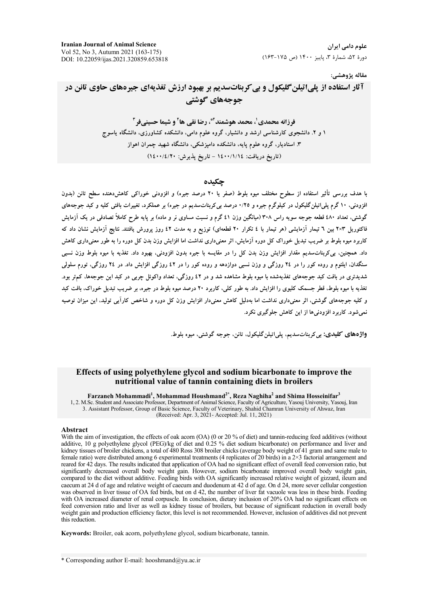**Iranian Journal of Animal Science** Vol 52, No 3, Autumn 2021 (163-175) DOI: 10.22059/ijas.2021.320859.653818

علوم دامے, ایران دورهٔ ۵۲، شمارهٔ ۳، پاییز ۱۴۰۰ (ص ۱۷۵-۱۶۳)

#### مقاله پژوهشي:

# آثار استفاده از پلي اتيلن گليکول و پي کربناتسديم بر بهبود ارزش تغذيهاي جيرههاي حاوي تانن در جوجههای گوشتی

فرزانه محمدی'، محمد هوشمند<sup>4</sup>، رضا نقی ها<sup>۲</sup> و شیما حسینی فر<sup>۳</sup> ۱ و ۲. دانشجوی کارشناسی ارشد و دانشیار، گروه علوم دامی، دانشکده کشاورزی، دانشگاه یاسوج ۳. استادیار، گروه علوم یایه، دانشکده دامیزشکی، دانشگاه شهید چمران اهواز (تاريخ دريافت: ١٤٠٠/١/١٤ - تاريخ يذيرش: ١٤٠٠/٤/٢٠)

#### حكىدە

با هدف بررسی تأثیر استفاده از سطوح مختلف میوه بلوط (صفر یا ۲۰ درصد جیره) و افزودنی خوراکی کاهش(دهنده سطح تانن (بدون افزودنی، ۱۰ گرم یلی!تیلن گلیکول در کیلوگرم جیره و ۰/۲۵ درصد بی کربناتسدیم در جیره) بر عملکرد، تغییرات بافتی کلیه و کبد جوجههای گوشتی، تعداد ٤٨٠ قطعه جوجه سویه راس ٣٠٨ (میانگین وزن ٤١ گرم و نسبت مساوی نر و ماده) بر پایه طرح کاملاً تصادفی در یک آزمایش فاکتوریل ۲×۲ بین ٦ تیمار آزمایشی (هر تیمار با ٤ تکرار ۲۰ قطعهای) توزیع و به مدت ٤٢ روز پرورش یافتند. نتایج آزمایش نشان داد که کاربرد میوه بلوط بر ضریب تبدیل خوراک کل دوره آزمایش، اثر معنیداری نداشت اما افزایش وزن بدن کل دوره را به طور معنیداری کاهش داد. همچنین، بی کربناتسدیم مقدار افزایش وزن بدن کل را در مقایسه با جیره بدون افزودنی، بهبود داد. تغذیه با میوه بلوط وزن نسبی سنگدان، ایلئوم و روده کور را در ۲٤ روزگی و وزن نسبی دوازدهه و روده کور را در ٤٢ روزگی افزایش داد. در ٢٤ روزگی، تورم سلولی شدیدتری در بافت کبد جوجههای تغذیهشده با میوه بلوط مشاهده شد و در ۶۲ روزگی، تعداد واکوئل چربی در کبد این جوجهها، کمهتر بود. تغذیه با میوه بلوط، قطر جسمک کلبوی را افزایش داد. به طور کلی، کاربرد ۲۰ درصد میوه بلوط در جیره، بر ضریب تبدیل خوراک، بافت کید و کلیه جوجههای گوشتی، اثر معنیداری نداشت اما بهدلیل کاهش معنیدار افزایش وزن کل دوره و شاخص کارآیی تولید، این میزان توصیه نمي شود. کاربرد افزودني ها از اين کاهش جلوگيري نکرد.

.<br>وا**ژدهاي کليدي:** بي کربناتسديم، پلياتيلن گليکول، تانن، جوجه گوشتي، ميوه بلوط.

#### Effects of using polyethylene glycol and sodium bicarbonate to improve the nutritional value of tannin containing diets in broilers

Farzaneh Mohammadi<sup>1</sup>, Mohammad Houshmand<sup>2\*</sup>, Reza Naghiha<sup>2</sup> and Shima Hosseinifar<sup>3</sup> 1, 2. M.Sc. Student and Associate Professor, Department of Animal Science, Faculty of Agriculture, Yasouj University, Yasouj, Iran 3. Assistant Professor, Group of Basic Science, Faculty of Veterinary, Shahid Chamran University of Ahwaz, Iran (Received: Apr. 3, 2021- Accepted: Jul. 11, 2021)

#### Abstract

With the aim of investigation, the effects of oak acorn (OA) (0 or 20 % of diet) and tannin-reducing feed additives (without additive, 10 g polyethylene glycol (PEG)/kg of diet and 0.25 % diet sodium bicarbonate) on perfor kidney tissues of broiler chickens, a total of 480 Ross 308 broiler chicks (average body weight of 41 gram and same male to female ratio) were distributed among 6 experimental treatments (4 replicates of 20 birds) in a  $2\times3$  factorial arrangement and reared for 42 days. The results indicated that application of OA had no significant effect of overall feed conversion ratio, but significantly decreased overall body weight gain. However, sodium bicarbonate improved overall body weight gain, compared to the diet without additive. Feeding birds with OA significantly increased relative weight of gizzard, ileum and caecum at 24 d of age and relative weight of caecum and duodenum at 42 d of age. On d 24, more sever cellular congestion was observed in liver tissue of OA fed birds, but on d 42, the number of liver fat vacuole was less in these birds. Feeding with OA increased diameter of renal corpuscle. In conclusion, dietary inclusion of 20% OA had no significant effects on feed conversion ratio and liver as well as kidney tissue of broilers, but because of significant reduction in overall body weight gain and production efficiency factor, this level is not recommended. However, inclusion of additives did not prevent this reduction.

Keywords: Broiler, oak acorn, polyethylene glycol, sodium bicarbonate, tannin.

\* Corresponding author E-mail: hooshmand@yu.ac.ir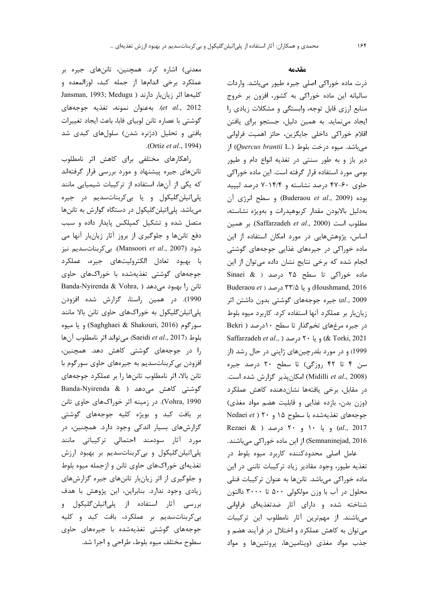#### **مقدمه**

ذرت ماده خوراکی اصلی جیره طیور میباشد. واردات ساليانه اين ماده خوراكي به كشور، افزون بر خروج منابع ارزی قابل توجه، وابستگی و مشکلات زیادی را ایجاد مینماید. به همین دلیل، جستجو برای یافتن اقلام خوراكي داخلي جايگزين، حائز اهميت فراواني میباشد. میوه درخت بلوط (*Quercus brantii* L.) از دير باز و به طور سنتي در تغذيه انواع دام و طيور بومي مورد استفاده قرار گرفته است. اين ماده خوراكي حاوی ۶۰-۴۷ درصد نشاسته و ۱۴/۴-۷ درصد لیبید بوده (Buderaou *et al.*, 2009) و سطح انرژی آن بهدليل بالابودن مقدار كربوهيدرات و بهويژه نشاسته، مطلوب است (Saffarzadeh *et al.*, 2000). بر همین اساس، پژوهشهایی در مورد امکان استفاده از این ماده خوراکی در جیرههای غذایی جوجههای گوشتی نجام شده که برخی نتایج نشان داده میتوان از این Sinaei & ) درصد ( & Sinaei Buderaou *et* ) @ 5/33 (Houshmand, 2016 al., 2009) جيره جوجههاي گوشتي بدون داشتن اثر زيانبار بر عملكرد آنها استفاده كرد. كاربرد ميوه بلوط در جیره مرغهای تخم گذار تا سطح ١٠درصد ( Bekri Saffarzadeh *et al*., ) @ 20 ( & Torki, 2021 1999) و در مورد بلدرچینهای ژاپنی در حال رشد (از سن ۴ تا ۴۲ روزگی) تا سطح ۲۰ درصد جیره (Midilli *et al.*, 2008) امكان پذير گزارش شده است. در مقابل، برخی یافتهها نشاندهنده کاهش عملکرد (وزن بدن، بازده غذایی و قابلیت هضم مواد مغذی) جوجههای تغذیهشده با سطوح ۱۵ و ۲۰ ( Nedaei *et* Rezaei & ) @ 20 10 ( *al*., 2017 Semnaninejad, 2016) از این ماده خوراکی میباشند. عامل اصلی محدودکننده کاربرد میوه بلوط در

تغذیه طیور، وجود مقادیر زیاد ترکیبات تاننی در این ماده خوراكي ميباشد. تاننها به عنوان تركيبات فنلي محلول در آب با وزن مولکولی ۵۰۰ تا ۳۰۰۰ دالتون شناخته شده و دارای آثار ضدتغذیهای فراوانی میباشند. از مهمترین آثار نامطلوب این ترکیبات می توان به کاهش عملکرد و اختلال در فرآیند هضم و جذب مواد مغذی (ویتامینها، پروتئینها و مواد

معدنی) اشاره کرد. همچنین، تاننهای جیره بر عملكرد برخي اندامها از جمله كبد، لوزالمعده و Jansman, 1993; Medugu ) كليهها اثر زيانبار دارند et al., 2012). به عنوان نمونه، تغذيه جوجههاى گوشتی با عصاره تانن لوبیای فابا، باعث ایجاد تغییرات بافتی و تحلیل (دژنره شدن) سلولهای کبدی شد (. Ortiz *et al*., 1994)

راهکارهای مختلفی برای کاهش اثر نامطلوب تاننهای جیره پیشنهاد و مورد بررسی قرار گرفتهاند كه يكي از آنها، استفاده از تركيبات شيميايي مانند پلیاتیلن گلیکول و یا بی کربناتسدیم در جیره میباشد. پلیاتیلن گلیکول در دستگاه گوارش به تاننها متصل شده و تشکیل کمپلکس پایدار داده و سبب دفع تاننها و جلوگیری از بروز آثار زیانبار آنها می 
F 6 (23145+1 . (Mansoori *et al*., 2007) 0 با بهبود تعادل الكتروليتهاى جيره، عملكرد جوجههای گوشتی تغذیهشده با خوراکهای حاوی Banda-Nyirenda & Vohra, ) تانن را بهبود میدهد 1990). در همین راستا، گزارش شده افزودن پلیاتیلن گلیکول به خوراکهای حاوی تانن بالا مانند سورگوم (Saghghaei & Shakouri, 2016) و يا ميوه بلوط (Saeidi et al., 2017) مي تواند اثر نامطلوب آنها را در جوجههای گوشتی کاهش دهد. همچنین، افزودن بی کربناتسدیم به جیرههای حاوی سورگوم با تانن بالا، اثر نامطلوب تاننها را بر عملكرد جوجههاى گوشتی کاهش میدهد ( Banda-Nyirenda & Vohra, 1990). در زمینه اثر خوراکهای حاوی تانن بر بافت کبد و بویژه کلیه جوجههای گوشتی گزارشهای بسیار اندکی وجود دارد. همچنین، در مورد آثار سودمند احتمالی ترکیباتی مانند پلی اتیلن گلیکول و بی کربنات سدیم بر بهبود ارزش تغذیهای خوراکهای حاوی تانن و ازجمله میوه بلوط و جلوگیری از اثر زیان بار تاننهای جیره گزارشهای زیادی وجود ندارد. بنابراین، این پژوهش با هدف بررسی آثار استفاده از پلیاتیلن گلیکول و بی کربنات سدیم بر عملکرد، بافت کبد و کلیه جوجههای گوشتی تغذیهشده با جیرههای حاوی سطوح مختلف ميوه بلوط، طراحى و اجرا شد.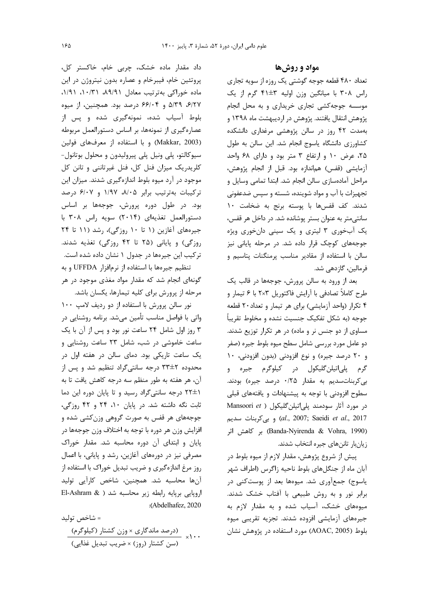#### مواد و روشها

تعداد ۴۸۰ قطعه جوجه گوشتی یک روزه از سویه تجاری راس ۳۰۸ با میانگین وزن اولیه ۳±۴۱ گرم از یک موسسه جوجه کشی تجاری خریداری و به محل انجام پژوهش انتقال یافتند. پژوهش در اردیبهشت ماه ۱۳۹۸ و بهمدت ۴۲ روز در سالن پژوهشی مرغداری دانشکده کشاورزی دانشگاه یاسوج انجام شد. این سالن به طول ۲۵، عرض ۱۰ و ارتفاع ۳ متر بود و دارای ۶۸ واحد آزمایشی (قفس) هماندازه بود. قبل از انجام پژوهش، مراحل آمادهسازی سالن انجام شد. ابتدا تمامی وسایل و تجهیزات با آب و مواد شوینده، شسته و سیس ضدعفونی شدند. كف قفسها با پوسته برنج به ضخامت ١٠ سانتی متر به عنوان بستر پوشانده شد. در داخل هر قفس، یک آبخوری ۳ لیتری و یک سینی دانخوری ویژه جوجههای کوچک قرار داده شد. در مرحله پایانی نیز سالن با استفاده از مقادیر مناسب پرمنگنات پتاسیم و فرمالین، گازدهی شد.

بعد از ورود به سالن پرورش، جوجهها در قالب یک طرح کاملاً تصادفی با آرایش فاکتوریل ۲×۲ با ۶ تیمار و ۴ تکرار (واحد آزمایشی) برای هر تیمار و تعداد۲۰ قطعه جوجه (به شکل تفکیک جنسیت نشده و مخلوط تقریباً مساوی از دو جنس نر و ماده) در هر تکرار توزیع شدند. دو عامل مورد بررسی شامل سطح میوه بلوط جیره (صفر و ۲۰ درصد جیره) و نوع افزودنی (بدون افزودنی، ۱۰ گرم پلی|تیلنگلیکول در کیلوگرم جیره و بی کربنات سدیم به مقدار ۰/۲۵ درصد جیره) بودند. سطوح افزودنی با توجه به پیشنهادات و یافتههای قبلی در مورد آثار سودمند پلیاتیلن گلیکول ( Mansoori et al., 2007; Saeidi et al., 2017) و بى كربنات سديم (Banda-Nyirenda & Vohra, 1990) بر كاهش اثر زیانبار تاننهای جیره انتخاب شدند.

پیش از شروع پژوهش، مقدار لازم از میوه بلوط در آبان ماه از جنگلهای بلوط ناحیه زاگرس (اطراف شهر یاسوج) جمعآوری شد. میوهها بعد از پوست کنی در برابر نور و به روش طبیعی با آفتاب خشک شدند. میوههای خشک، آسیاب شده و به مقدار لازم به جیرههای آزمایشی افزوده شدند. تجزیه تقریبی میوه بلوط (AOAC, 2005) مورد استفاده در پژوهش نشان

داد مقدار ماده خشک، چربی خام، خاکستر کل، پروتئین خام، فیبرخام و عصاره بدون نیتروژن در این ماده خوراکی بهترتیب معادل ۸۹/۹۱، ۰۱/۹۱، ۱/۹۱، ۶/۲۷، ۵/۳۹ و ۶۶/۰۴ درصد بود. همچنین، از میوه بلوط آسیاب شده، نمونهگیری شده و پس از عصارهگیری از نمونهها، بر اساس دستورالعمل مربوطه (Makkar, 2003) وبا استفاده از معرفهای فولین سيوكالتو، پلي ونيل پلي پيروليدون و محلول بوتانول-کلریدریک میزان فنل کل، فنل غیرتاننی و تانن کل موجود در آرد میوه بلوط اندازهگیری شدند. میزان این ترکیبات بهترتیب برابر ۸/۰۵، ۱/۹۷ و ۶/۰۷ درصد بود. در طول دوره پرورش، جوجهها بر اساس دستورالعمل تغذيهاي (٢٠١۴) سويه راس ٣٠٨ با جیرههای آغازین (۱ تا ۱۰ روزگی)، رشد (۱۱ تا ۲۴ روزگی) و پایانی (۲۵ تا ۴۲ روزگی) تغذیه شدند. تر کیب این جیرهها در جدول ۱ نشان داده شده است.

تنظیم جیرەها با استفاده از نرمافزار UFFDA و به گونهای انجام شد که مقدار مواد مغذی موجود در هر مرحله از پرورش برای کلیه تیمارها، یکسان باشد.

نور سالن پرورش با استفاده از دو رديف لامپ ١٠٠ واتی با فواصل مناسب تأمین میشد. برنامه روشنایی در ۳ روز اول شامل ۲۴ ساعت نور بود و پس از آن با یک ساعت خاموشی در شب، شامل ۲۳ ساعت روشنایی و یک ساعت تاریکی بود. دمای سالن در هفته اول در محدوده ۳۳±۳ درجه سانتی گراد تنظیم شد و پس از آن، هر هفته به طور منظم سه درجه كاهش يافت تا به (۲۲±۱ درجه سانتی گراد رسید و تا پایان دوره این دما ثابت نگه داشته شد. در پایان ۱۰، ۲۴ و ۴۲ روزگی، جوجههای هر قفس به صورت گروهی وزن کشی شده و افزايش وزن هر دوره با توجه به اختلاف وزن جوجهها در پایان و ابتدای آن دوره محاسبه شد. مقدار خوراک مصرفی نیز در دورههای آغازین، رشد و پایانی، با اعمال روز مرغ اندازهگیری و ضریب تبدیل خوراک با استفاده از آنها محاسبه شد. همچنین، شاخص کارآیی تولید اروپایی برپایه رابطه زیر محاسبه شد ( El-Ashram & :(Abdelhafez, 2020

= شاخص توليد . . .<br>دا <sub>× .</sub> (درصد ماندگاري × <u>وزن كشتا</u>ر (كيلوگرم) × . (سن کشتار (روز) × ضرب تبدیل غذایی)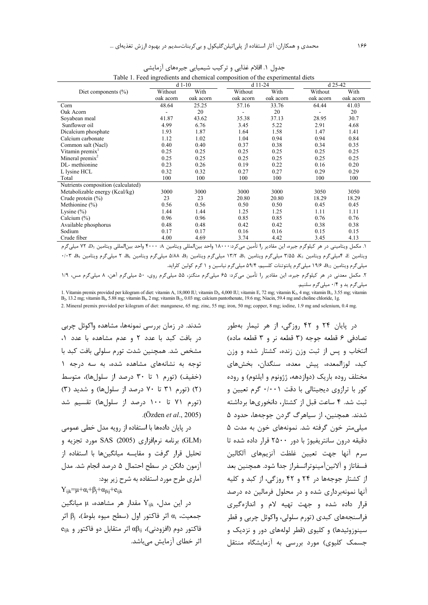|                                    | $d1-10$   |           | $d$ 11-24 | d 25-42   |           |           |
|------------------------------------|-----------|-----------|-----------|-----------|-----------|-----------|
| Diet components $(\% )$            | Without   | With      | Without   | With      | Without   | With      |
|                                    | oak acorn | oak acorn | oak acorn | oak acorn | oak acorn | oak acorn |
| Corn                               | 48.64     | 25.25     | 57.16     | 33.76     | 64.44     | 41.03     |
| Oak Acorn                          |           | 20        |           | 20        |           | 20        |
| Soyabean meal                      | 41.87     | 43.62     | 35.38     | 37.13     | 28.95     | 30.7      |
| Sunflower oil                      | 4.99      | 6.76      | 3.45      | 5.22      | 2.91      | 4.68      |
| Dicalcium phosphate                | 1.93      | 1.87      | 1.64      | 1.58      | 1.47      | 1.41      |
| Calcium carbonate                  | 1.12      | 1.02      | 1.04      | 0.94      | 0.94      | 0.84      |
| Common salt (Nacl)                 | 0.40      | 0.40      | 0.37      | 0.38      | 0.34      | 0.35      |
| Vitamin premix <sup>1</sup>        | 0.25      | 0.25      | 0.25      | 0.25      | 0.25      | 0.25      |
| Mineral premix <sup>2</sup>        | 0.25      | 0.25      | 0.25      | 0.25      | 0.25      | 0.25      |
| DL-methionine                      | 0.23      | 0.26      | 0.19      | 0.22      | 0.16      | 0.20      |
| L lysine HCL                       | 0.32      | 0.32      | 0.27      | 0.27      | 0.29      | 0.29      |
| Total                              | 100       | 100       | 100       | 100       | 100       | 100       |
| Nutrients composition (calculated) |           |           |           |           |           |           |
| Metabolizable energy (Kcal/kg)     | 3000      | 3000      | 3000      | 3000      | 3050      | 3050      |
| Crude protein $(\% )$              | 23        | 23        | 20.80     | 20.80     | 18.29     | 18.29     |
| Methionine (%)                     | 0.56      | 0.56      | 0.50      | 0.50      | 0.45      | 0.45      |
| Lysine $(\% )$                     | 1.44      | 1.44      | 1.25      | 1.25      | 1.11      | 1.11      |
| Calcium $(\%)$                     | 0.96      | 0.96      | 0.85      | 0.85      | 0.76      | 0.76      |
| Available phosphorus               | 0.48      | 0.48      | 0.42      | 0.42      | 0.38      | 0.38      |
| Sodium                             | 0.17      | 0.17      | 0.16      | 0.16      | 0.15      | 0.15      |
| Crude fiber                        | 4.00      | 4.69      | 3.74      | 4.42      | 3.45      | 4.13      |

جدول ۱. اقلام غذایی و ترکیب شیمیایی جیرههای آزمایشی Table 1. Feed ingredients and chemical composition of the experimental diets

۱. مكمل ويتاميني در هر كيلوگرم جيره، اين مقادير را تأمين ميكرد:۱۸۰۰۰ واحد بين|لمللي ويتامين A: ۴۰۰۰ واحد بين|لمللي ويتامين D3، ۷۲ ميليگرم ويتامين E، ۴سيلي گرم ويتامين Ks، شاهه سلي گرم ويتامين B، الا C ميلي گرم ويتامين دB، ۵/۸۸ ميلي گرم ويتامين B6، ۲<br>ويتامين E، ۴سيلي گرم ويتامين Ks، 18.5 ميلي گرم ويتامين I۳/۲ ميلي گرم ويتامين دB، ۵/۸۸ ميلي گرم ويتامين K، B و میلی گرم ویتامین B<sub>12</sub>، ۱۹/۶ میلی گرم پانتوتنات کلسیم، ۵۹/۴ میلی گرم نیاسین و ۱ گرم کولین کلراید.

۲. مکمل معدنی در هر کیلوگرم جیره، این مقادیر را تأمین میکرد: ۶۵ میلیگرم منگنز، ۵۵ میلیگرم آهن، ۸ میلیگرم مس، ۱/۹ هیلیگرم ید و ۰/۴ میلیگرم سلنیم.

1. Vitamin premix provided per kilogram of diet: vitamin A, 18,000 IU; vitamin D<sub>3</sub>, 4,000 IU; vitamin E, 72 mg; vitamin K<sub>3</sub>, 4 mg; vitamin B<sub>1</sub>, 3.55 mg; vitamin  $B_2$ , 13.2 mg; vitamin  $B_6$ , 5.88 mg; vitamin  $B_9$ , 2 mg; vitamin  $B_{12}$ , 0.03 mg; calcium pantothenate, 19.6 mg; Niacin, 59.4 mg and choline chloride, 1g.

2. Mineral premix provided per kilogram of diet: manganese, 65 mg; zinc, 55 mg; iron, 50 mg; copper, 8 mg; iodine, 1.9 mg and selenium, 0.4 mg.

شدند. در زمان بررسی نمونهها، مشاهده واکوئل چربی در بافت کبد با عدد ۲ و عدم مشاهده با عدد ۱، مشخص شد. همچنین شدت تورم سلولی بافت کبد با توجه به نشانههای مشاهده شده، به سه درجه ۱ (خفيف) (تورم ١ تا ٣٠ درصد از سلولها)، متوسط (۲) (تورم ۳۱ تا ۷۰ درصد از سلولها) و شدید (۳) (تورم ۷۱ تا ۱۰۰ درصد از سلولها) تقسیم شد .( Özden *et al*., 2005)

در پایان دادهها با استفاده از رویه مدل خطی عمومی (GLM) برنامه نرم فزاری (2005) SAS مورد تجزیه و تحليل قرار گرفت و مقايسه ميانگينها با استفاده از أزمون دانكن در سطح احتمال ۵ درصد انجام شد. مدل اًماري طرح مورد استفاده به شرح زير بود:  $Y_{ijk}=\mu+\alpha_i+\beta_i+\alpha_{\beta ij}+e_{ijk}$ 

 $Y_{ijk}$  در این مدل،  $Y_{ijk}$  مقدار هر مشاهده، μ میانگین جمعیت، αا اثر فاکتور اول (سطح میوه بلوط)، β<sub>j</sub> اثر  $e_{ijk}$  فاكتور دوم (افزودنی)،  $\alpha\beta_{ij}$  اثر متقابل دو فاكتور و اثر خطای آزمایش میباشد.

در پایان ۲۴ و ۴۲ روزگی، از هر تیمار بهطور تصادفي ۶ قطعه جوجه (۳ قطعه نر و ۳ قطعه ماده) نتخاب و پس از ثبت وزن زنده، کشتار شده و وزن كبد، لوزالمعده، پيش معده، سنگدان، بخشهاى مختلف روده باریک (دوازدهه، ژژونوم و ایلئوم) و روده کور با ترازوی دیجیتالی با دقت ۰/۰۰۱ گرم تعیین و ئبت شد. ۴ ساعت قبل از کشتار، دانخوریها برداشته شدند. همچنین، از سیاهرگ گردن جوجهها، حدود ۵ میلی متر خون گرفته شد. نمونههای خون به مدت ۵ دقیقه درون سانتریفیوژ با دور ۲۵۰۰ قرار داده شده تا سرم آنها جهت تعيين غلظت آنزيمهاي آلكالين فسفاتاز و آلانینآمینوترانسفراز جدا شود. همچنین بعد از کشتار جوجهها در ۲۴ و ۴۲ روزگی، از کبد و کلیه آنها نمونهبرداری شده و در محلول فرمالین ده درصد قرار داده شده و جهت تهیه لام و اندازهگیری فراسنجههای کېدی (تورم سلولی، واکوئل چربی و قطر سینوزوئیدها) و کلیوی (قطر لولههای دور و نزدیک و جسمک کلیوی) مورد بررسی به آزمایشگاه منتقل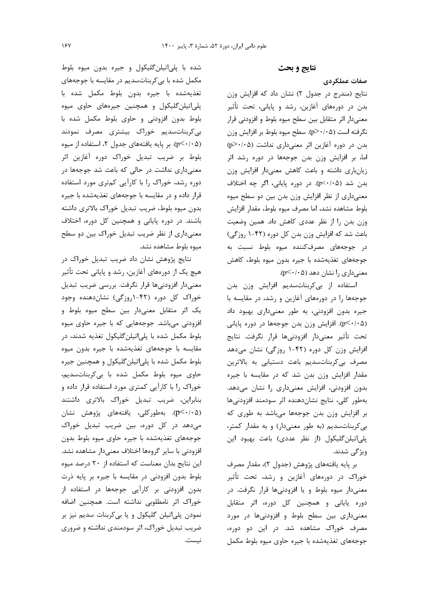نتايج و بحث

صفات عملکردی

نتایج (مندرج در جدول ۲) نشان داد که افزایش وزن بدن در دورههای آغازین، رشد و پایانی، تحت تأثیر معنیدار اثر متقابل بین سطح میوه بلوط و افزودنی قرار نگرفته است (p>٠/٠۵). سطح ميوه بلوط بر افزايش وزن بدن در دوره آغازین اثر معنیداری نداشت (p>٠/٠۵) ما، بر افزایش وزن بدن جوجهها در دوره رشد اثر زیانباری داشته و باعث کاهش معنیدار افزایش وزن بدن شد (p<٠/٠۵). در دوره پایانی، اگر چه اختلاف معنیداری از نظر افزایش وزن بدن بین دو سطح میوه بلوط مشاهده نشد، اما مصرف ميوه بلوط، مقدار افزايش وزن بدن را از نظر عددی کاهش داد. همین وضعیت باعث شد که افزایش وزن بدن کل دوره (۴۲-۱ روزگی) در جوجههای مصرفکننده میوه بلوط نسبت به جوجههای تغذیهشده با جیره بدون میوه بلوط، کاهش  $(p<\cdot/\cdot \Delta)$  معنی داری را نشان دهد (۰۵ $\leq$ +).

استفاده از بی کربناتسدیم افزایش وزن بدن جوجهها را در دورههای آغازین و رشد، در مقایسه با جيره بدون افزودني، به طور معنى دارى بهبود داد (p<٠/٠۵). افزایش وزن بدن جوجهها در دوره پایانی تحت تأثير معنىدار افزودنيها قرار نگرفت. نتايج افزایش وزن کل دوره (۴۲-۱ روزگی) نشان میدهد مصرف بي كربنات سديم باعث دستيابي به بالاترين مقدار افزایش وزن بدن شد که در مقایسه با جیره بدون افزودنی، افزایش معنیداری را نشان میدهد. بهطور كلي، نتايج نشان دهنده اثر سودمند افزودنيها بر افزایش وزن بدن جوجهها میباشد به طوری که بی کربنات سدیم (به طور معنیدار) و به مقدار کمتر، پلیاتیلن گلیکول (از نظر عددی) باعث بهبود این ويژگى شدند.

بر پايه يافتههاي پژوهش (جدول ۲)، مقدار مصرف خوراک در دورههای آغازین و رشد، تحت تأثیر معنیدار میوه بلوط و یا افزودنیها قرار نگرفت. در دوره پایانی و همچنین کل دوره، اثر متقابل معنیداری بین سطح بلوط و افزودنیها در مورد مصرف خوراک مشاهده شد. در این دو دوره، جوجههای تغذیهشده با جیره حاوی میوه بلوط مکمل

شده با پلیاتیلن گلیکول و جیره بدون میوه بلوط مکمل شده با بی کربناتسدیم در مقایسه با جوجههای تغذيهشده با جيره بدون بلوط مكمل شده با پلې اتيلن گليکول و همچنين جيرههای حاوی ميوه بلوط بدون افزودنی و حاوی بلوط مکمل شده با بی کربنات سدیم خوراک بیشتری مصرف نمودند (p<٠/٠۵). بر پایه یافتههای جدول ۲، استفاده از میوه بلوط بر ضريب تبديل خوراك دوره آغازين اثر معنیداری نداشت در حالی که باعث شد جوجهها در دوره رشد، خوراک را با کارآیی کمتری مورد استفاده قرار داده و در مقایسه با جوجههای تغذیهشده با جیره بدون ميوه بلوط، ضريب تبديل خوراك بالاترى داشته باشند. در دوره پایانی و همچنین کل دوره، اختلاف معنیداری از نظر ضریب تبدیل خوراک بین دو سطح ميوه بلوط مشاهده نشد.

نتایج پژوهش نشان داد ضریب تبدیل خوراک در هیچ یک از دورههای آغازین، رشد و پایانی تحت تأثیر معنیدار افزودنیها قرار نگرفت. بررسی ضریب تبدیل خوراک کل دوره (۴۲-۱روزگی) نشاندهنده وجود یک اثر متقابل معنیدار بین سطح میوه بلوط و افزودنی میباشد. جوجههایی که با جیره حاوی میوه بلوط مکمل شده با پلی|تیلنگلیکول تغذیه شدند، در مقايسه با جوجههاى تغذيهشده با جيره بدون ميوه بلوط مکمل شده با پلی|تیلنگلیکول و همچنین جیره حاوی میوه بلوط مکمل شده با بی کربناتسدیم، خوراک را با کارآیی کمتری مورد استفاده قرار داده و بنابراین، ضریب تبدیل خوراک بالاتری داشتند p<۰/۰۵). بەطوركلى، يافتەھاي پژوھش نشان میدهد در کل دوره، بین ضریب تبدیل خوراک جوجههای تغذیهشده با جیره حاوی میوه بلوط بدون افزودنی با سایر گروهها اختلاف معنیدار مشاهده نشد. این نتایج بدان معناست که استفاده از ۲۰ درصد میوه بلوط بدون افزودنی در مقایسه با جیره بر پایه ذرت بدون افزودنی بر کارآیی جوجهها در استفاده از خوراک اثر نامطلوبی نداشته است. همچنین اضافه نمودن پلي|تيلن گليکول و يا بي کربنات سديم نيز بر ضریب تبدیل خوراک، اثر سودمندی نداشته و ضروری نيست.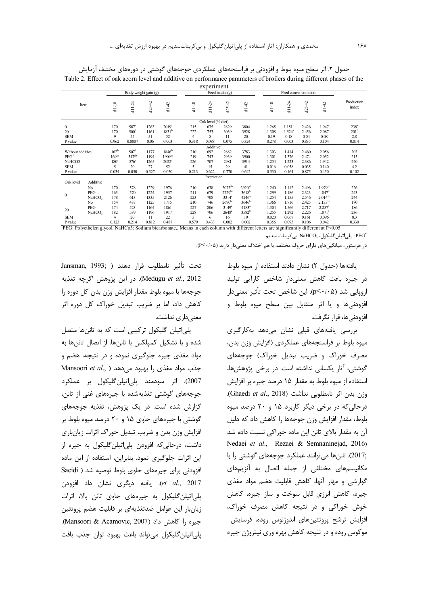| experiment       |                    |                  |                   |                      |                      |         |                       |                      |                    |         |                    |                       |                       |                     |
|------------------|--------------------|------------------|-------------------|----------------------|----------------------|---------|-----------------------|----------------------|--------------------|---------|--------------------|-----------------------|-----------------------|---------------------|
|                  |                    |                  |                   | Body weight gain (g) |                      |         |                       | Feed intake $(g)$    |                    |         |                    | Feed conversion ratio |                       |                     |
|                  | Item               | $d1-10$          | $d11-24$          | $25 - 42$<br>ಀ       | d142                 | $d1-10$ | $d11-24$              | $25 - 42$<br>ᆞ       | d142               | $d1-10$ | $d11-24$           | $d25-42$              | d142                  | Production<br>Index |
|                  |                    |                  |                   |                      |                      |         | Oak level (% diet)    |                      |                    |         |                    |                       |                       |                     |
| $\mathbf{0}$     |                    | 170              | 587 <sup>a</sup>  | 1263                 | $2019^a$             | 215     | 675                   | 2829                 | 3804               | 1.265   | 1.151 <sup>b</sup> | 2.426                 | 1.947                 | 238 <sup>a</sup>    |
| 20               |                    | 170              | 500 <sup>b</sup>  | 1161                 | 1831 <sup>b</sup>    | 222     | 753                   | 3039                 | 3928               | 1.308   | $1.524^{a}$        | 2.456                 | 2.087                 | 201 <sup>b</sup>    |
| <b>SEM</b>       |                    | 9                | 44                | 51                   | 52                   | 4       | 8                     | 11                   | 20                 | 0.19    | 0.18               | 0.04                  | 0.08                  | 2.8                 |
| P value          |                    | 0.962            | 0.0007            | 0.06                 | 0.003                | 0.318   | 0.088                 | 0.075                | 0.324              | 0.278   | 0.003              | 0.835                 | 0.104                 | 0.014               |
|                  |                    |                  |                   |                      |                      |         | Additive <sup>2</sup> |                      |                    |         |                    |                       |                       |                     |
| Without additive |                    | 162 <sup>b</sup> | 507 <sup>b</sup>  | 1177                 | 1846 <sup>b</sup>    | 210     | 692                   | 2882                 | 3783               | 1.303   | 1.414              | 2.460                 | 2.056                 | 203                 |
| $PEG^*$          |                    | $169^{ab}$       | 547 <sup>ab</sup> | 1194                 | $1909$ <sup>ab</sup> | 219     | 743                   | 2939                 | 3900               | 1.301   | 1.376              | 2.474                 | 2.052                 | 215                 |
| NaHCO3           |                    | 180 <sup>a</sup> | 576 <sup>a</sup>  | 1265                 | $2022^a$             | 226     | 707                   | 2981                 | 3914               | 1.254   | 1.223              | 2.386                 | 1.942                 | 240                 |
| <b>SEM</b>       |                    | 5                | 20                | 27                   | 52                   | 5       | 15                    | 29                   | 41                 | 0.016   | 0.058              | 0.035                 | 0.140                 | 4.2                 |
| P value          |                    | 0.034            | 0.050             | 0.327                | 0.050                | 0.213   | 0.622                 | 0.770                | 0.642              | 0.530   | 0.164              | 0.875                 | 0.450                 | 0.102               |
|                  |                    |                  |                   |                      |                      |         | Interaction           |                      |                    |         |                    |                       |                       |                     |
| Oak level        | Additive           |                  |                   |                      |                      |         |                       |                      |                    |         |                    |                       |                       |                     |
|                  | No                 | 170              | 578               | 1229                 | 1976                 | 210     | 638                   | $3073$ <sup>ab</sup> | 3920 <sup>ab</sup> | 1.240   | 1.112              | 2.496                 | $1.979$ <sup>ab</sup> | 226                 |
| $\mathbf{0}$     | PEG                | 163              | 570               | 1224                 | 1957                 | 211     | 679                   | $2729$ bc            | $3618^{b}$         | 1.299   | 1.186              | 2.323                 | 1.847 <sup>b</sup>    | 243                 |
|                  | NaHCO <sub>3</sub> | 178              | 613               | 1335                 | 2126                 | 223     | 708                   | $3314^a$             | $4246^a$           | 1.254   | 1.155              | 2.546                 | $2.014^{ab}$          | 244                 |
|                  | No                 | 154              | 437               | 1125                 | 1715                 | 210     | 746                   | 2690 <sup>bc</sup>   | 3646 <sup>b</sup>  | 1.366   | 1.716              | 2.425                 | $2.133^{ab}$          | 180                 |
| 20               | PEG                | 174              | 523               | 1164                 | 1861                 | 227     | 806                   | $3149^a$             | $4183^a$           | 1.304   | 1.566              | 2.717                 | $2.257^a$             | 186                 |
|                  | NaHCO <sub>3</sub> | 182              | 539               | 1196                 | 1917                 | 228     | 706                   | $2648^\circ$         | 3582 <sup>b</sup>  | 1.255   | 1.292              | 2.226                 | 1.871 <sup>b</sup>    | 236                 |
| <b>SEM</b>       |                    | $\overline{4}$   | 20                | 11                   | 22                   | 3       | 6                     | 16                   | 19                 | 0.020   | 0.067              | 0.161                 | 0.096                 | 8.3                 |
| P value          |                    | 0.123            | 0.214             | 0.812                | 0.487                | 0.579   | 0.433                 | 0.002                | 0.002              | 0.356   | 0.095              | 0.106                 | 0.042                 | 0.330               |

جدول ۲. اثر سطح میوه بلوط و افزودنی بر فراسنجههای عملکردی جوجههای گوشتی در دورههای مختلف آزمایش Table 2. Effect of oak acorn level and additive on performance parameters of broilers during different phases of the

PEG: Polyethelen glycol, NaHCo3: Sodium bicarbonate,. Means in each column with different letters are significantly different at P<0.05. 'PEG: يلي|تيلن گليكول، NaHCO3: بي كربنات سديم.

در هرستون، میانگینهای دارای حروف مختلف، با هم اختلاف معنیدار دارند (P<۰/۰۵).

يافتهها (جدول ٢) نشان دادند استفاده از ميوه بلوط در جیرہ باعث کاهش معنیدار شاخص کارآیی تولید اروپایی شد (p≤٠/٠۵). این شاخص تحت تأثیر معنیدار افزودنیها و یا اثر متقابل بین سطح میوه بلوط و افزودني ها، قرار نگرفت.

بررسے یافتهھای قبلے نشان مےدھد بهکارگیری میوه بلوط بر فراسنجههای عملکردی (افزایش وزن بدن، مصرف خوراک و ضریب تبدیل خوراک) جوجههای گوشتی، آثار یکسانی نداشته است. در برخی پژوهشها، استفاده از میوه بلوط به مقدار ۱۵ درصد جیره بر افزایش وزن بدن اثر نامطلوبی نداشت (Ghaedi et al., 2018). درحالی که در برخی دیگر کاربرد ۱۵ و ۲۰ درصد میوه بلوط، مقدار افزایش وزن جوجهها را کاهش داد که دلیل آن به مقدار بالای تانن این ماده خوراکی نسبت داده شد Nedaei et al., Rezaei & Semnaninejad, 2016) ,2017). تاننها می توانند عملکرد جوجههای گوشتی را با مکانیسمهای مختلفی از جمله اتصال به آنزیمهای گوارشی و مهار آنها، کاهش قابلیت هضم مواد مغذی جیره، کاهش انرژی قابل سوخت و ساز جیره، کاهش خوش خوراکی و در نتیجه کاهش مصرف خوراک، افزایش ترشح پروتئینهای اندوژنوس روده، فرسایش موکوس روده و در نتیجه کاهش بهره وری نیتروژن جیره

تحت تأثير نامطلوب قرار دهند ( Jansman, 1993; Medugu et al., 2012). در اين پژوهش اگرچه تغذيه جوجهها با ميوه بلوط مقدار افزايش وزن بدن كل دوره را کاهش داد، اما بر ضریب تبدیل خوراک کل دوره اثر معنىدارى نداشت.

یلے اتیلن گلیکول ترکیبی است که به تاننها متصل شده و با تشکیل کمپلکس با تاننها، از اتصال تاننها به مواد مغذی جیره جلوگیری نموده و در نتیجه، هضم و Mansoori et al., ) جذب مواد مغذی را بهبود می دهد 2007). اثر سودمند پلے اتیلن گلیکول پر عملکرد جوجههای گوشتی تغذیهشده با جیرههای غنی از تانن، گزارش شده است. در یک پژوهش، تغذیه جوجههای گوشتی با جیرههای حاوی ۱۵ و ۲۰ درصد میوه بلوط بر افزایش وزن بدن و ضریب تبدیل خوراک اثرات زیانباری داشت، درحالی که افزودن یلی|تیلن گلیکول به جیره از این اثرات جلوگیری نمود. بنابراین، استفاده از این ماده افزودنی برای جیرههای حاوی بلوط توصیه شد ( Saeidi et al., 2017). يافته ديگرى نشان داد افزودن یلی|تیلن گلیکول به جیرههای حاوی تانن بالا، اثرات زيانبار اين عوامل ضدتغذيهاي بر قابليت هضم پروتئين جيره ,ا كاهش داد (Mansoori & Acamovic, 2007). يلي|تيلن گليکول مي تواند باعث بهبود توان جذب بافت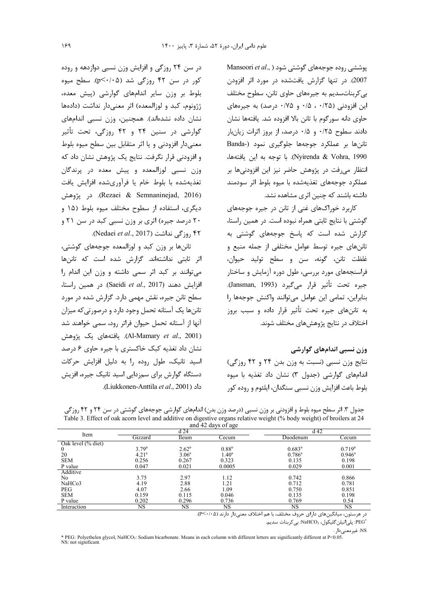Mansoori et al., ) یوششی روده جوجههای گوشتی شود 2007). در تنها گزارش یافتشده در مورد اثر افزودن بي كربنات سديم به جيرههاي حاوي تانن، سطوح مختلف این افزودنی (۲۵/۰۰، ۱۵/۰ و ۰/۷۵ درصد) به جیرههای حاوي دانه سورگوم با تانن بالا افزوده شد. يافتهها نشان دادند سطوح ۰/۲۵ و ۰/۵ درصد، از بروز اثرات زیان بار تاننها بر عملکرد جوجهها جلوگیری نمود (Banda Nyirenda & Vohra, 1990). با توجه به اين يافتهها، انتظار می فت در پژوهش حاضر نیز این افزودنیها بر عملکرد جوجههای تغذیهشده با میوه بلوط اثر سودمند داشته باشند که چنین اثری مشاهده نشد.

کاربرد خوراکهای غنی از تانن در جیره جوجههای گوشتی با نتایج ثابتی همراه نبوده است. در همین راستا، گزارش شده است که پاسخ جوجههای گوشتی به تاننهای جیره توسط عوامل مختلفی از جمله منبع و غلظت تانن، گونه، سن و سطح توليد حيوان، فراسنجههای مورد بررسی، طول دوره آزمایش و ساختار جيره تحت تأثير قرار مي گيرد (Jansman, 1993). بنابراين، تمامي اين عوامل مي توانند واكنش جوجهها را به تاننهای جیره تحت تأثیر قرار داده و سبب بروز اختلاف در نتايج پژوهشهای مختلف شوند.

وزن نسبی اندامهای گوارشی

نتايج وزن نسبي (نسبت به وزن بدن ٢۴ و ۴۲ روزگي) اندامهای گوارشی (جدول ۳) نشان داد تغذیه با میوه بلوط باعث افزايش وزن نسبي سنگدان، ايلئوم و روده كور

در سن ۲۴ روزگی و افزایش وزن نسبی دوازدهه و روده کور در سن ۴۲ روزگی شد (p≤۰/۰۵). سطح میوه بلوط بر وزن سایر اندامهای گوارشی (پیش معده، ژژونوم، کبد و لوزالمعده) اثر معنیٍدار نداشت (دادهها نشان داده نشدهاند). همچنین، وزن نسبی اندامهای گوارشی در سنین ۲۴ و ۴۲ روزگی، تحت تأثیر معنیدار افزودنی و یا اثر متقابل بین سطح میوه بلوط و افزودنی قرار نگرفت. نتایج یک پژوهش نشان داد که وزن نسبی لوزالمعده و پیش معده در پرندگان تغذیهشده با بلوط خام یا فرآوریشده افزایش یافت (Rezaei & Semnaninejad, 2016). در پژوهش دیگری، استفاده از سطوح مختلف میوه بلوط (۱۵ و ۲۰ درصد جیره) اثری بر وزن نسبی کبد در سن ۲۱ و ۴۲ روز گی نداشت (Nedaei et al., 2017).

تاننها بر وزن کبد و لوزالمعده جوجههای گوشتی، اثر ثابتی نداشتهاند. گزارش شده است که تاننها می توانند بر کبد اثر سمی داشته و وزن این اندام را افزايش دهند (Saeidi et al., 2017). در همين راستا، سطح تانن جیره، نقش مهمی دارد. گزارش شده در مورد تاننها یک آستانه تحمل وجود دارد و درصورتی که میزان آنها از آستانه تحمل حیوان فراتر رود، سمی خواهند شد (Al-Mamary *et al.*, 2001). يافتەھاي يک پژوهش نشان داد تغذیه کبک خاکستری با جیره حاوی ۶ درصد اسید تانیک، طول روده را به دلیل افزایش حرکات دستگاه گوارش برای سمزدایی اسید تانیک جیره، افزیش داد (Liukkonen-Anttila et al., 2001).

|                    |                   |                   | $\frac{1}{2}$ and $\frac{1}{2}$ and $\frac{1}{2}$ |                 |                    |  |
|--------------------|-------------------|-------------------|---------------------------------------------------|-----------------|--------------------|--|
| Item               |                   | d24               |                                                   | $d$ 42          |                    |  |
|                    | Gizzard           | Ileum             | Cecum                                             | Duodenum        | Cecum              |  |
| Oak level (% diet) |                   |                   |                                                   |                 |                    |  |
| $\overline{0}$     | 3.79 <sup>b</sup> | $2.62^{b}$        | $0.88^{b}$                                        | $0.683^{b}$     | 0.719 <sup>b</sup> |  |
| 20                 | 4.21 <sup>a</sup> | 3.06 <sup>a</sup> | $1.40^{\circ}$                                    | $0.786^{\circ}$ | $0.946^{\circ}$    |  |
| <b>SEM</b>         | 0.256             | 0.267             | 0.323                                             | 0.135           | 0.198              |  |
| P value            | 0.047             | 0.021             | 0.0005                                            | 0.029           | 0.001              |  |
| Additive           |                   |                   |                                                   |                 |                    |  |
| No                 | 3.75              | 2.97              | 1.12                                              | 0.742           | 0.866              |  |
| NaHCo3             | 4.19              | 2.88              | 1.21                                              | 0.712           | 0.781              |  |
| <b>PEG</b>         | 4.07              | 2.66              | 1.09                                              | 0.750           | 0.851              |  |
| <b>SEM</b>         | 0.159             | 0.115             | 0.046                                             | 0.135           | 0.198              |  |
| P value            | 0.202             | 0.296             | 0.736                                             | 0.769           | 0.54               |  |
| Interaction        | NS                | <b>NS</b>         | NS                                                | NS              | NS.                |  |

جدول ۳. اثر سطح میوه بلوط و افزودنی بر وزن نسبی (درصد وزن بدن) اندامهای گوارشی جوجههای گوشتی در سن ۲۴ و ۴۲ روزگی Table 3. Effect of oak acorn level and additive on digestive organs relative weight (% body weight) of broilers at 24  $4.42$  days at

در هرستون، میانگینهای دارای حروف مختلف، با هم اختلاف معنیدار دارند (P<۰/۰۵).

.<br>'PEG: يلي|تيلن گليكول، NaHCO3: بي كربنات سديم.

NS غیرمعنیدار .<br>NS WEG: Polyethelen glycol, NaHCO3: Sodium bicarbonate. Means in each column with different letters are significantly different at P<0.05.<br>NS: not significant.  $NS: not significant$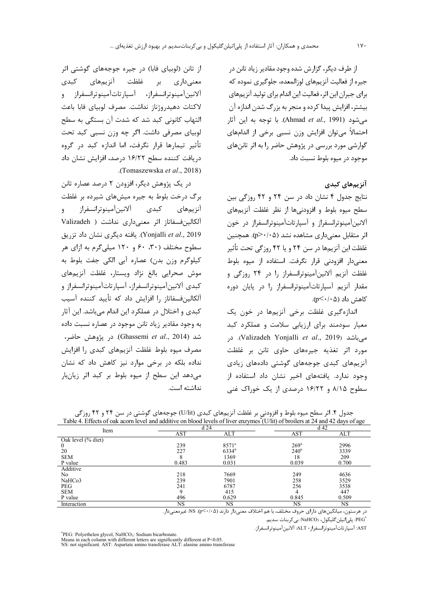از طرف دیگر، گزارش شده وجود مقادیر زیاد تانن در جیره از فعالیت آنزیمهای لوزالمعده، جلوگیری نموده که برای جبران این اثر، فعالیت این اندام برای تولید آنزیمهای بيشتر، افزايش پيدا كرده و منجر به بزرگ شدن اندازه آن مي شود (Ahmad *et al.*, 1991). با توجه به اين آثار احتمالاً می توان افزایش وزن نسبی برخی از اندامهای گوارشی مورد بررسی در پژوهش حاضر را به اثر تاننهای موجود در ميوه بلوط نسبت داد.

## آنزیمهای کبدی

نتایج جدول ۴ نشان داد در سن ۲۴ و ۴۲ روزگی بین سطح میوه بلوط و افزودنیها از نظر غلظت آنزیمهای آلانینآمینوترانسفراز و آسپارتاتآمینوترانسفراز در خون اثر متقابل معنی داری مشاهده نشد (p>٠/٠۵). همچنین غلظت این آنزیمها در سن ۲۴ و یا ۴۲ روزگی تحت تأثیر معنیدار افزودنی قرار نگرفت. استفاده از میوه بلوط غلظت آنزیم آلانینآمینوترانسفراز را در ۲۴ روزگی و مقدار آنزیم آسپارتاتآمینوترانسفراز را در پایان دوره کاهش داد (۵۱/۰>∕p).

اندازهگیری غلظت برخی آنزیمها در خون یک معیار سودمند برای ارزیابی سلامت و عملکرد کبد میباشد (Valizadeh Yonjalli et al., 2019). در مورد اثر تغذيه جيرههاي حاوي تانن بر غلظت آنزیمهای کبدی جوجههای گوشتی دادههای زیادی وجود ندارد. یافتههای اخیر نشان داد استفاده از سطوح ۸/۱۵ و ۱۶/۲۲ درصدی از یک خوراک غنی

از تانن (لوبیای فابا) در جیره جوجههای گوشتی اثر معنیداری بر غلظت آنزیمهای کبدی آلانين آمينوترانسفراز، آسيارتات آمينوترانسفراز و لاكتات دهيدروژناز نداشت. مصرف لوبياي فابا باعث التهاب كانوني كبد شد كه شدت آن بستگي به سطح لوبياي مصرفي داشت. اگر چه وزن نسبي كبد تحت تأثیر تیمارها قرار نگرفت، اما اندازه کبد در گروه دریافت کننده سطح ۱۶/۲۲ درصد، افزایش نشان داد .(Tomaszewska et al., 2018)

در یک پژوهش دیگر، افزودن ۲ درصد عصاره تانن برگ درخت بلوط به جیره میشهای شیرده بر غلظت آنزيمهاي كبدى آلانين آمينوترانسفراز  $\ddot{ }$ آلكالين فسفاتاز اثر معنى دارى نداشت ( Valizadeh Yonjalli et al., 2019). يافته ديگري نشان داد تزريق سطوح مختلف (۳۰، ۶۰ و ۱۲۰ میلی گرم به ازای هر كيلوگرم وزن بدن) عصاره أبي الكي جفت بلوط به موش صحرایی بالغ نژاد ویستار، غلظت آنزیمهای كبدى آلانينآمينوترانسفراز، آسپارتاتآمينوترانسفراز و آلكالينفسفاتاز را افزايش داد كه تأييد كننده آسيب کبدی و اختلال در عملکرد این اندام می باشد. این آثار به وجود مقادیر زیاد تانن موجود در عصاره نسبت داده شد (Ghassemi *et al*., 2014). در پژوهش حاضر، مصرف میوه بلوط غلظت آنزیمهای کبدی ,ا افزایش نداده بلکه در برخی موارد نیز کاهش داد که نشان می دهد این سطح از میوه بلوط بر کبد اثر زیانبار نداشته است.

| TAOIC 4. ETICOIS OI OAN ACOHI ICVCI ANU AUUNTVC ON DIOOU ICVCIS OI IIVCI CIIZVINES (O/III) OI DIONCIS ALZ4 ANU 4Z UAVS OI AGC |            |            |                  |            |  |  |  |
|-------------------------------------------------------------------------------------------------------------------------------|------------|------------|------------------|------------|--|--|--|
| Item                                                                                                                          |            | d24        | d 42             |            |  |  |  |
|                                                                                                                               | <b>AST</b> | <b>ALT</b> | <b>AST</b>       | <b>ALT</b> |  |  |  |
| Oak level (% diet)                                                                                                            |            |            |                  |            |  |  |  |
| $\theta$                                                                                                                      | 239        | $8571^a$   | 269 <sup>a</sup> | 2996       |  |  |  |
| 20                                                                                                                            | 227        | $6334^b$   | $240^{\circ}$    | 3339       |  |  |  |
| <b>SEM</b>                                                                                                                    |            | 1369       | 18               | 209        |  |  |  |
| P value                                                                                                                       | 0.483      | 0.031      | 0.039            | 0.700      |  |  |  |
| Additive                                                                                                                      |            |            |                  |            |  |  |  |
| No.                                                                                                                           | 218        | 7669       | 249              | 4636       |  |  |  |
| NaHCo3                                                                                                                        | 239        | 7901       | 258              | 3529       |  |  |  |
| <b>PEG</b>                                                                                                                    | 241        | 6787       | 256              | 3538       |  |  |  |
| <b>SEM</b>                                                                                                                    |            | 415        |                  | 447        |  |  |  |
| P value                                                                                                                       | 496        | 0.629      | 0.845            | 0.509      |  |  |  |
| Interaction                                                                                                                   | <b>NS</b>  | NS         | NS               | NS         |  |  |  |

جدول ۴. اثر سطح میوه بلوط و افزودنی بر غلظت آنزیمهای کبدی (U/lit) جوجههای گوشتی در سن ۲۴ و ۴۲ روزگی

در هرستون، میانگینهای دارای حروف مختلف، با هم اختلاف معنیدار دارند (۲۰۵×-۲۰). NS: غیرمعنیدار.

.<br>'PEG: يلي|تيلن گليكول، NaHCO3: بي كربنات سديم.

AST: آسپارتاتآمینوترانسفراز ، ALT: آلانینآمینوترانسفراز.

\*PEG: Polyethelen glycol, NaHCO<sub>3</sub>: Sodium bicarbonate.

FLO. Forgettelen giveor, warre of a commit order outer of the means in each column with different letters are significantly different at P<0.05.<br>NS: not significant. AST: Aspartate amino transferase ALT: alanine amino tran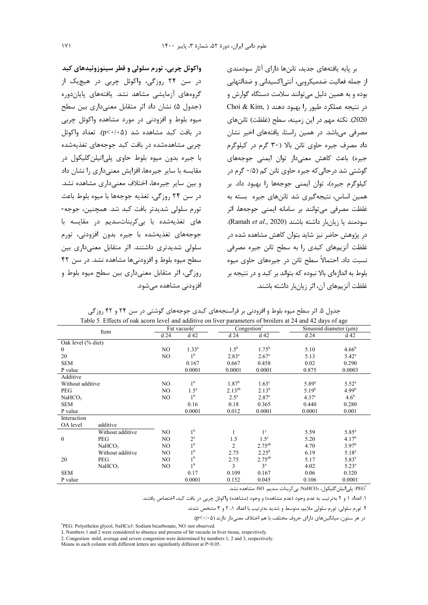واکوئل چربي، تورم سلولي و قطر سينوزوئيدهاي کبد در سن ۲۴ روزگی، واکوئل چربی در هیچیک از گروههای آزمایشی مشاهد نشد. یافتههای پایاندوره (جدول ۵) نشان داد اثر متقابل معنی داری بین سطح میوه بلوط و افزودنی در مورد مشاهده واکوئل چربی  $(p<\cdot/\cdot \Delta)$ در بافت کبد مشاهده شد (p< $\cdot/\cdot \Delta$ ). تعداد واکوئل چربی مشاهدهشده در بافت کبد جوجههای تغذیهشده با جيره بدون ميوه بلوط حاوي پلي|تيلن گليکول در مقایسه با سایر جیرهها، افزایش معنے داری را نشان داد و بين ساير جيرەها، اختلاف معنے دارى مشاهده نشد. در سن ٢۴ روزگی، تغذیه جوجهها با میوه بلوط باعث تورم سلولي شديدتر بافت كبد شد. همچنين، جوجه-های تغذیهشده با بی کربناتسدیم در مقایسه با جوجەهاى تغذيەشدە با جيرە بدون افزودنى، تورم سلولی شدیدتری داشتند. اثر متقابل معنیداری بین سطح میوه بلوط و افزودنیها مشاهده نشد. در سن ۴۲ روزگی، اثر متقابل معنیداری بین سطح میوه بلوط و افزودنی مشاهده مے شود.

بر پایه یافتههای جدید، تاننها دارای آثار سودمندی از جمله فعالیت ضدمیکروبی، آنتی|کسیدانی و ضدالتهابی بوده و به همین دلیل می توانند سلامت دستگاه گوارش و در نتيجه عملكرد طيور را بهبود دهند ( Choi & Kim, 2020). نكته مهم در اين زمينه، سطح (غلظت) تاننهاى مصرفی می،باشد. در همین راستا، یافتههای اخیر نشان داد مصرف جیره حاوی تانن بالا (۳۰ گرم در کیلوگرم جیره) باعث کاهش معنیدار توان ایمنی جوجههای گوشتی شد در حالی که جیره حاوی تانن کم (۰/۵ گرم در كيلوگرم جيره)، توان ايمنى جوجهها را بهبود داد. بر همین اساس، نتیجهگیری شد تاننهای جیره بسته به غلظت مصرفی می توانند بر سامانه ایمنی جوجهها، اثر سودمند يا زيان بار داشته باشند (Ramah et al., 2020). در پژوهش حاضر نیز شاید بتوان کاهش مشاهده شده در غلظت آنزیمهای کبدی ,ا به سطح تانن جیره مصرفی نسبت داد. احتمالاً سطح تانن در جیرەهای حاوی میوه بلوط به اندازهای بالا نبوده که بتواند بر کبد و در نتیجه بر غلظت آنزیمهای آن، اثر زیانبار داشته باشند.

| Table 5. Effects of oak acorn level and additive on liver parameters of broilers at 24 and 42 days of age |                    |     |                          |                   |                         |                   |                                            |
|-----------------------------------------------------------------------------------------------------------|--------------------|-----|--------------------------|-------------------|-------------------------|-------------------|--------------------------------------------|
| Item                                                                                                      |                    |     | Fat vacuole <sup>1</sup> |                   | Congestion <sup>2</sup> |                   | $\overline{\text{Sinusoid diameter (µm)}}$ |
|                                                                                                           |                    | d24 | d <sub>42</sub>          | d24               | d 42                    | d24               | d 42                                       |
| Oak level (% diet)                                                                                        |                    |     |                          |                   |                         |                   |                                            |
| $\bf{0}$                                                                                                  |                    | NO. | $1.33^{a}$               | $1.5^{\rm b}$     | $1.75^{b}$              | 5.10              | $4.66^{b}$                                 |
| 20                                                                                                        |                    | NO. | 1 <sup>b</sup>           | $2.83^{a}$        | 2.67 <sup>a</sup>       | 5.13              | $5.42^{\circ}$                             |
| <b>SEM</b>                                                                                                |                    |     | 0.167                    | 0.667             | 0.458                   | 0.02              | 0.290                                      |
| P value                                                                                                   |                    |     | 0.0001                   | 0.0001            | 0.0001                  | 0.875             | 0.0003                                     |
| Additive                                                                                                  |                    |     |                          |                   |                         |                   |                                            |
| Without additive                                                                                          |                    | NO. | 1 <sup>b</sup>           | 1.87 <sup>b</sup> | 1.63 <sup>c</sup>       | $5.89^{a}$        | $5.52^{\circ}$                             |
| PEG                                                                                                       |                    | NO. | $1.5^a$                  | $2.13^{ab}$       | $2.13^{b}$              | $5.19^{b}$        | 4.99 <sup>b</sup>                          |
| NaHCO <sub>3</sub>                                                                                        |                    | NO. | 1 <sup>b</sup>           | $2.5^{\circ}$     | 2.87 <sup>a</sup>       | 4.37 <sup>c</sup> | 4.6 <sup>b</sup>                           |
| <b>SEM</b>                                                                                                |                    |     | 0.16                     | 0.18              | 0.365                   | 0.440             | 0.280                                      |
| P value                                                                                                   |                    |     | 0.0001                   | 0.012             | 0.0001                  | 0.0001            | 0.001                                      |
| Interaction                                                                                               |                    |     |                          |                   |                         |                   |                                            |
| OA level                                                                                                  | additive           |     |                          |                   |                         |                   |                                            |
|                                                                                                           | Without additive   | NO. | 1 <sup>b</sup>           |                   | 1 <sup>c</sup>          | 5.59              | $5.85^{\circ}$                             |
| $\mathbf{0}$                                                                                              | <b>PEG</b>         | NO. | $2^{\mathrm{a}}$         | 1.5               | $1.5^{\circ}$           | 5.20              | 4.17 <sup>b</sup>                          |
|                                                                                                           | NaHCO <sub>3</sub> | NO. | 1 <sup>b</sup>           | $\overline{c}$    | $2.75^{ab}$             | 4.70              | $3.97^{\rm b}$                             |
|                                                                                                           | Without additive   | NO  | 1 <sup>b</sup>           | 2.75              | $2.25^{b}$              | 6.19              | $5.18^{a}$                                 |
| 20                                                                                                        | PEG                | NO. | 1 <sup>b</sup>           | 2.75              | $2.75^{ab}$             | 5.17              | $5.83^{a}$                                 |
|                                                                                                           | NaHCO <sub>3</sub> | NO. | 1 <sup>b</sup>           | 3                 | 3 <sup>a</sup>          | 4.02              | $5.23^{a}$                                 |
| <b>SEM</b>                                                                                                |                    |     | 0.17                     | 0.109             | 0.167                   | 0.06              | 0.320                                      |
| P value                                                                                                   |                    |     | 0.0001                   | 0.152             | 0.045                   | 0.106             | 0.0001                                     |

جدول ۵. اثر سطح میوه بلوط و افزودنی بر فراسنجههای کبدی جوجههای گوشتی در سن ۲۴ و ۴۲ روزگی

:<br>PEG": پلیاتیلنگلیکول، NaHCO3: بی کربنات سدیم. NO: مشاهده نشد.

۱. اعداد ۱ و ۲ به ترتیب به عدم وجود (عدم مشاهده) و وجود (مشاهده) واکوئل چربی در بافت کبد، اختصاص یافتند.

۲. تورم سلولی: تورم سلولی ملایم، متوسط و شدید به ترتیب با اعداد ۱، ۲ و ۳ مشخص شدند.

در هر ستون، میانگینهای دارای حروف مختلف، با هم اختلاف معنی دار دارند (p<۰/۰۵).

\*PEG: Polyethelen glycol, NaHCo3: Sodium bicarbonate, NO :not observed.

1. Numbers 1 and 2 were considered to absence and presens of fat vacuole in liver tissue, respevtively.

2. Congestion: mild, average and severe congestion were determined by numbers 1, 2 and 3, respectively.

Means in each column with different letters are siginifantly different at P<0.05.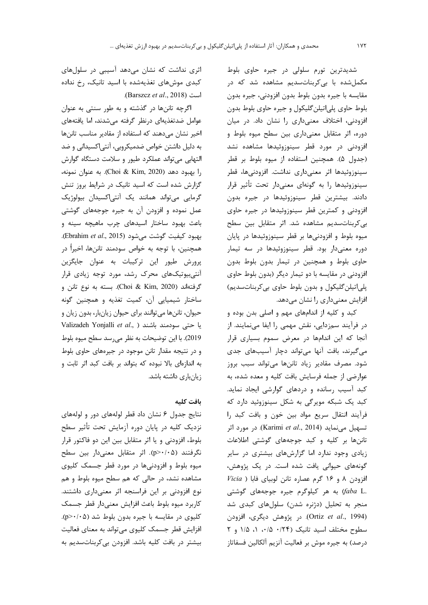شديدترين تورم سلولي در جيره حاوي بلوط مکمل شده با بی کربنات سدیم مشاهده شد که در مقايسه با جيره بدون بلوط بدون افزودني، جيره بدون بلوط حاوي پلياتيلن گليكول و جيره حاوي بلوط بدون افزودنی، اختلاف معنیداری را نشان داد. در میان دوره، اثر متقابل معنىدارى بين سطح ميوه بلوط و افزودنی در مورد قطر سینوزوئیدها مشاهده نشد (جدول ۵). همچنین استفاده از میوه بلوط بر قطر سینوزوئیدها اثر معنیداری نداشت. افزودنیها، قطر سینوزوئیدها را به گونهای معنیدار تحت تأثیر قرار دادند. بیشترین قطر سینوزوئیدها در جیره بدون افزودنی و کمترین قطر سینوزوئیدها در جیره حاوی بى كربنات سديم مشاهده شد. اثر متقابل بين سطح میوه بلوط و افزودنیها بر قطر سینوزوئیدها در پایان دوره معنیدار بود. قطر سینوزوئیدها در سه تیمار حاوی بلوط و همچنین در تیمار بدون بلوط بدون افزودنی در مقایسه با دو تیمار دیگر (بدون بلوط حاوی پلي اتيلن گليکول و بدون بلوط حاوي بي کربنات سديم) افزایش معنیداری را نشان میدهد.

کبد و کلیه از اندامهای مهم و اصلی بدن بوده و در فرآیند سمزدایی، نقش مهمی را ایفا مینمایند. از آنجا که این اندامها در معرض سموم بسیاری قرار می گیرند، بافت آنها می تواند دچار آسیبهای جدی شود. مصرف مقادیر زیاد تاننها میتواند سبب بروز عوارضی از جمله فرسایش بافت کلیه و معده شده، به کبد آسیب رسانده و دردهای گوارشی ایجاد نماید. کبد یک شبکه مویرگی به شکل سینوزوئید دارد که فرآیند انتقال سریع مواد بین خون و بافت کبد را تسهيل مى نمايد (Karimi et al., 2014). در مورد اثر تاننها بر کلیه و کبد جوجههای گوشتی اطلاعات زیادی وجود ندارد اما گزارشهای بیشتری در سایر گونههای حیوانی یافت شده است. در یک پژوهش،  $Vicia$ ) افزودن ۸ و ۱۶ گرم عصاره تانن لوبیای فابا به هر کیلوگرم جیره جوجههای گوشتی (faba L. منجر به تحلیل (دژنره شدن) سلولهای کبدی شد (Ortiz et al., 1994). در پژوهش دیگری، افزودن سطوح مختلف اسيد تانيک (١/٢۴ ه/٠، ١، ١/٥ و ٢ درصد) به جیره موش بر فعالیت آنزیم آلکالین فسفاتاز

اثری نداشت که نشان میدهد آسیبی در سلولهای کبدی موشهای تغذیهشده با اسید تانیک، رخ نداده است (Barszcz et al., 2018).

اگرچه تاننها در گذشته و به طور سنتی به عنوان عوامل ضدتغذیهای درنظر گرفته میشدند، اما یافتههای اخیر نشان می دهند که استفاده از مقادیر مناسب تاننها به دلیل داشتن خواص ضدمیکروبی، آنتی|کسیدانی و ضد التهابی می تواند عملکرد طیور و سلامت دستگاه گوارش , ابهبود دهد (Choi & Kim, 2020). به عنوان نمونه، گزارش شده است که اسید تانیک در شرایط بروز تنش گرمایی میتواند همانند یک آنتیاکسیدان بیولوژیک عمل نموده و افزودن آن به جیره جوجههای گوشتی باعث بهبود ساختار اسیدهای چرب ماهیچه سینه و بهبود كيفيت گوشت مى شود (Ebrahim et al., 2015). همچنین، با توجه به خواص سودمند تاننها، اخیراً در پرورش طیور این ترکیبات به عنوان جایگزین آنتی بیوتیکهای محرک رشد، مورد توجه زیادی قرار گرفتهاند (Choi & Kim, 2020). بسته به نوع تانن و ساختار شیمیایی آن، کمیت تغذیه و همچنین گونه حیوان، تاننها میتوانند برای حیوان زیانبار، بدون زیان و Valizadeh Yonjalli et al., ) سودمند باشند 2019). با این توضیحات به نظر می رسد سطح میوه بلوط و در نتیجه مقدار تانن موجود در جیرههای حاوی بلوط به اندازهای بالا نبوده که بتواند بر بافت کبد اثر ثابت و زیانباری داشته باشد.

### بافت كليه

نتایج جدول ۶ نشان داد قطر لولههای دور و لولههای نزدیک کلیه در پایان دوره آزمایش تحت تأثیر سطح بلوط، افزودنی و یا اثر متقابل بین این دو فاکتور قرار نگرفتند (p>٠/٠۵). اثر متقابل معنىدار بين سطح میوه بلوط و افزودنیها در مورد قطر جسمک کلیوی مشاهده نشد، در حالی که هم سطح میوه بلوط و هم نوع افزودنی بر این فراسنجه اثر معنیداری داشتند. كاربرد ميوه بلوط باعث افزايش معنى دار قطر جسمك کلیوی در مقایسه با جیره بدون بلوط شد (p>٠/٠۵). افزایش قطر جسمک کلیوی میتواند به معنای فعالیت بیشتر در بافت کلیه باشد. افزودن بی کربناتسدیم به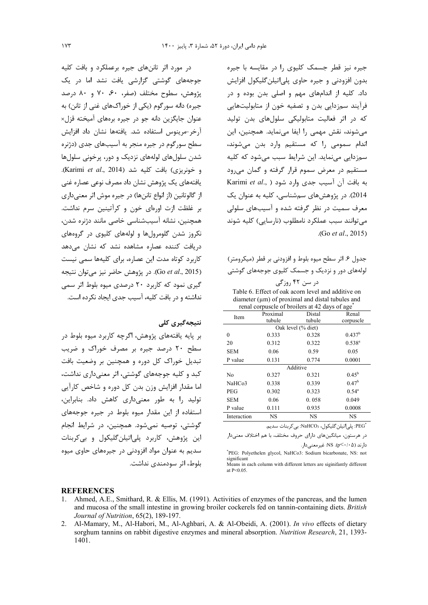جیره نیز قطر جسمک کلیوی را در مقایسه با جیره بدون افزودنی و جیره حاوی پلیاتیلن گلیکول افزایش داد. کلیه از اندامهای مهم و اصلی بدن بوده و در فرآیند سمزدایی بدن و تصفیه خون از متابولیتهایی كه در اثر فعاليت متابوليكي سلولهاي بدن توليد میشوند، نقش مهمی را ایفا مینماید. همچنین، این ندام سمومی را که مستقیم وارد بدن میشوند، سمزدایی مینماید. این شرایط سبب میشود که کلیه مستقیم در معرض سموم قرار گرفته و گمان می رود به بافت آن آسیب جدی وارد شود ( Karimi *et al*., 2014). در پژوهشهای سمشناسی، کلیه به عنوان یک معرف سمیت در نظر گرفته شده و آسیبهای سلولی میتوانند سبب عملکرد نامطلوب (نارسایی) کلیه شوند (. Go *et al*., 2015)

جدول ۶. اثر سطح ميوه بلوط و افزودني بر قطر (ميكرومتر) لولههای دور و نزدیک و جسمک کلیوی جوجههای گوشتی در سن ۴۲ روزگی

Table 6. Effect of oak acorn level and additive on diameter  $(\mu m)$  of proximal and distal tubules and renal corpuscle of broilers at 42 days of age\*

| Item               | Proximal | Distal             | Renal              |  |  |  |  |
|--------------------|----------|--------------------|--------------------|--|--|--|--|
|                    | tubule   | tubule             | corpuscle          |  |  |  |  |
|                    |          | Oak level (% diet) |                    |  |  |  |  |
| 0                  | 0.333    | 0.328              | 0.437 <sup>b</sup> |  |  |  |  |
| 20                 | 0.312    | 0.322              | $0.538^{a}$        |  |  |  |  |
| <b>SEM</b>         | 0.06     | 0.59               | 0.05               |  |  |  |  |
| P value            | 0.131    | 0.774              | 0.0001             |  |  |  |  |
| Additive           |          |                    |                    |  |  |  |  |
| N <sub>0</sub>     | 0.327    | 0.321              | $0.45^{\rm b}$     |  |  |  |  |
| NaHCo <sub>3</sub> | 0.338    | 0.339              | 0.47 <sup>b</sup>  |  |  |  |  |
| <b>PEG</b>         | 0.302    | 0.323              | $0.54^{\circ}$     |  |  |  |  |
| <b>SEM</b>         | 0.06     | 0.058              | 0.049              |  |  |  |  |
| P value            | 0.111    | 0.935              | 0.0008             |  |  |  |  |
| Interaction        | NS       | NS                 | <b>NS</b>          |  |  |  |  |

'PEG؛ پلى|تيلن گليكول، NaHCO3: بى كربنات سديم.

در هرستون، میانگینهای دارای حروف مختلف، با هم اختلاف معنیدار  $\cdot$ دارند ( $\cdot$ ۰/۰). NS: غیرمعنیدار

\* PEG: Polyethelen glycol, NaHCo3: Sodium bicarbonate, NS: not sionificant

Means in each column with different letters are siginifantly different at P˂0.05.

**REFERENCES** 

- 1. Ahmed, A.E., Smithard, R. & Ellis, M. (1991). Activities of enzymes of the pancreas, and the lumen and mucosa of the small intestine in growing broiler cockerels fed on tannin-containing diets. *British Journal of Nutrition*, 65(2), 189-197.
- 2. Al-Mamary, M., Al-Habori, M., Al-Aghbari, A. & Al-Obeidi, A. (2001). *In vivo* effects of dietary sorghum tannins on rabbit digestive enzymes and mineral absorption. *Nutrition Research*, 21, 1393- 1401.

در مورد اثر تاننهای جیره برعملکرد و بافت کلیه جوجههای گوشتی گزارشی یافت نشد اما در یک يژوهش، سطوح مختلف (صفر، ۶۰، ۷۰ و ۸۰ درصد جیره) دانه سورگوم (یکی از خوراکهای غنی از تانن) به عنوان جايگزين دانه جو در جيره برمهاي آميخته قزل× أرخر-مرينوس استفاده شد. يافتهها نشان داد افزايش سطح سورگوم در جیره منجر به آسیبهای جدی (دژنره شدن سلولهای لولههای نزدیک و دور، پرخونی سلولها و خونريزي) بافت كليه شد (Karimi *et al*., 2014). يافتههاي يک پژوهش نشان داد مصرف نوعي عصاره غني از گالوتانین (از انواع تاننها) در جیره موش اثر معنی داری بر غلظت ازت اورهای خون و کرآتینین سرم نداشت. همچنین، نشانه آسیبشناسی خاصی مانند دژنره شدن، نکروز شدن گلومرولها و لولههای کلیوی در گروههای دریافت کننده عصاره مشاهده نشد که نشان میدهد كاربرد كوتاه مدت اين عصاره، براى كليهها سمى نيست (Go *et al.*, 2015). در پژوهش حاضر نیز می توان نتیجه گیری نمود که کاربرد ۲۰ درصدی میوه بلوط اثر سمی نداشته و در بافت کلیه، آسیب جدی ایجاد نکرده است.

#### <mark>نتىجەگىرى كلى</mark>

بر پایه یافتههای پژوهش، اگرچه کاربرد میوه بلوط در سطح ۲۰ درصد جیره بر مصرف خوراک و ضریب تبدیل خوراک کل دوره و همچنین بر وضعیت بافت کبد و کلیه جوجههای گوشتی، اثر معنیداری نداشت، اما مقدار افزایش وزن بدن کل دوره و شاخص کارآیی تولید را به طور معنی داری کاهش داد. بنابراین، استفاده از این مقدار میوه بلوط در جیره جوجههای گوشتی، توصیه نمیشود. همچنین، در شرایط انجام اين پژوهش، كاربرد پلي|تيلن *گ*ليكول و بي *ك*ربنات سدیم به عنوان مواد افزودنی در جیرههای حاوی میوه بلوط، اثر سودمندى نداشت.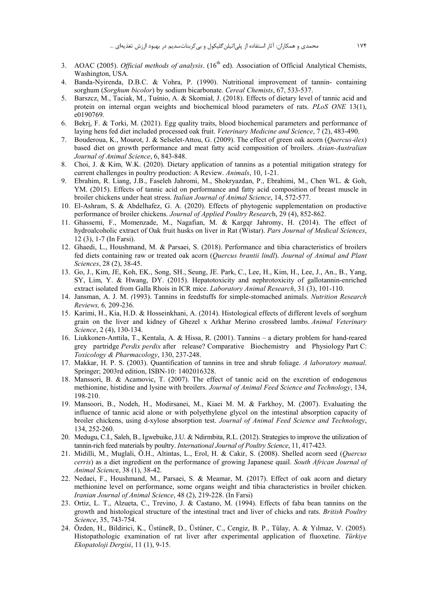- 3. AOAC (2005). Official methods of analysis. (16<sup>th</sup> ed). Association of Official Analytical Chemists, Washington, USA.
- 4. Banda-Nyirenda, D.B.C. & Vohra, P. (1990). Nutritional improvement of tannin- containing sorghum (Sorghum bicolor) by sodium bicarbonate. Cereal Chemists, 67, 533-537.
- 5. Barszcz, M., Taciak, M., Tuśnio, A. & Skomiał, J. (2018). Effects of dietary level of tannic acid and protein on internal organ weights and biochemical blood parameters of rats. PLoS ONE 13(1), e0190769.
- 6. Bekri, F. & Torki, M. (2021). Egg quality traits, blood biochemical parameters and performance of laying hens fed diet included processed oak fruit. Veterinary Medicine and Science,  $7(2)$ , 483-490.
- 7. Bouderoua, K., Mourot, J. & Selselet-Attou, G. (2009). The effect of green oak acorn (Quercus-ilex) based diet on growth performance and meat fatty acid composition of broilers. Asian-Australian Journal of Animal Science, 6, 843-848.
- 8. Choi, J. & Kim, W.K. (2020). Dietary application of tannins as a potential mitigation strategy for current challenges in poultry production: A Review. Animals, 10, 1-21.
- 9. Ebrahim, R. Liang, J.B., Faseleh Jahromi, M., Shokryazdan, P., Ebrahimi, M., Chen WL. & Goh, YM. (2015). Effects of tannic acid on performance and fatty acid composition of breast muscle in broiler chickens under heat stress. Italian Journal of Animal Science, 14, 572-577.
- 10. El-Ashram, S. & Abdelhafez, G. A. (2020). Effects of phytogenic supplementation on productive performance of broiler chickens. Journal of Applied Poultry Research, 29 (4), 852-862.
- 11. Ghassemi, F., Momenzade, M., Nagafian, M. & Kargqr Jahromy, H. (2014). The effect of hydroalcoholic extract of Oak fruit husks on liver in Rat (Wistar). Pars Journal of Medical Sciences, 12 (3), 1-7 (In Farsi).
- 12. Ghaedi, L., Houshmand, M. & Parsaei, S. (2018). Performance and tibia characteristics of broilers fed diets containing raw or treated oak acorn (Quercus brantii lindl). Journal of Animal and Plant Sciences, 28 (2), 38-45.
- 13. Go, J., Kim, JE, Koh, EK., Song, SH., Seung, JE, Park, C., Lee, H., Kim, H., Lee, J., An., B., Yang, SY, Lim, Y. & Hwang, DY. (2015). Hepatotoxicity and nephrotoxicity of gallotannin-enriched extract isolated from Galla Rhois in ICR mice. Laboratory Animal Research, 31 (3), 101-110.
- 14. Jansman, A. J. M. (1993). Tannins in feedstuffs for simple-stomached animals. Nutrition Research Reviews, 6, 209-236.
- 15. Karimi, H., Kia, H.D. & Hosseinkhani, A. (2014). Histological effects of different levels of sorghum grain on the liver and kidney of Ghezel x Arkhar Merino crossbred lambs. Animal Veterinary Science, 2 (4), 130-134.
- 16. Liukkonen-Anttila, T., Kentala, A. & Hissa, R. (2001). Tannins a dietary problem for hand-reared grey partridge Perdix perdix after release? Comparative Biochemistry and Physiology Part C: Toxicology & Pharmacology, 130, 237-248.
- 17. Makkar, H. P. S. (2003). Ouantification of tannins in tree and shrub foliage. A laboratory manual. Springer; 2003rd edition, ISBN-10: 1402016328.
- 18. Manssori, B. & Acamovic, T. (2007). The effect of tannic acid on the excretion of endogenous methionine, histidine and lysine with broilers. Journal of Animal Feed Science and Technology, 134, 198-210.
- 19. Mansoori, B., Nodeh, H., Modirsanei, M., Kiaei M. M. & Farkhoy, M. (2007). Evaluating the influence of tannic acid alone or with polyethylene glycol on the intestinal absorption capacity of broiler chickens, using d-xylose absorption test. Journal of Animal Feed Science and Technology, 134, 252-260.
- 20. Medugu, C.I., Saleh, B., Igwebuike, J.U. & Ndirmbita, R.L. (2012). Strategies to improve the utilization of tannin-rich feed materials by poultry. *International Journal of Poultry Science*, 11, 417-423.
- 21. Midilli, M., Muglali, Ö.H., Altintas, L., Erol, H. & Cakir, S. (2008). Shelled acorn seed (Ouercus cerris) as a diet ingredient on the performance of growing Japanese quail. South African Journal of Animal Science, 38 (1), 38-42.
- 22. Nedaei, F., Houshmand, M., Parsaei, S. & Meamar, M. (2017). Effect of oak acorn and dietary methionine level on performance, some organs weight and tibia characteristics in broiler chicken. Iranian Journal of Animal Science, 48 (2), 219-228. (In Farsi)
- 23. Ortiz, L. T., Alzueta, C., Trevino, J. & Castano, M. (1994). Effects of faba bean tannins on the growth and histological structure of the intestinal tract and liver of chicks and rats. British Poultry Science, 35, 743-754.
- 24. Özden, H., Bildirici, K., ÜstüneR, D., Üstüner, C., Cengiz, B. P., Tülay, A. & Yılmaz, V. (2005). Histopathologic examination of rat liver after experimental application of fluoxetine. Türkiye Ekopatoloji Dergisi, 11 (1), 9-15.